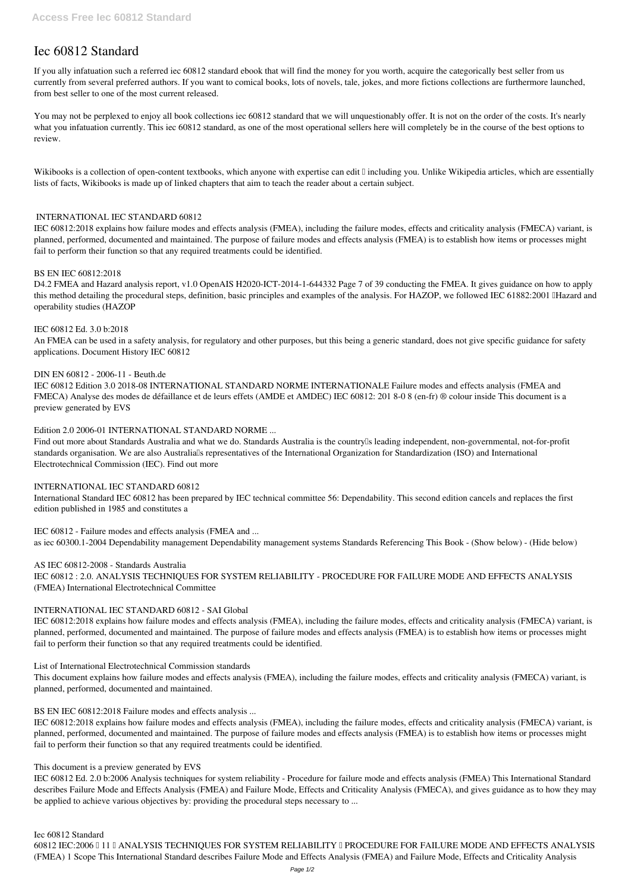# **Iec 60812 Standard**

If you ally infatuation such a referred **iec 60812 standard** ebook that will find the money for you worth, acquire the categorically best seller from us currently from several preferred authors. If you want to comical books, lots of novels, tale, jokes, and more fictions collections are furthermore launched, from best seller to one of the most current released.

You may not be perplexed to enjoy all book collections iec 60812 standard that we will unquestionably offer. It is not on the order of the costs. It's nearly what you infatuation currently. This iec 60812 standard, as one of the most operational sellers here will completely be in the course of the best options to review.

Wikibooks is a collection of open-content textbooks, which anyone with expertise can edit  $\mathbb I$  including you. Unlike Wikipedia articles, which are essentially lists of facts, Wikibooks is made up of linked chapters that aim to teach the reader about a certain subject.

# **INTERNATIONAL IEC STANDARD 60812**

IEC 60812:2018 explains how failure modes and effects analysis (FMEA), including the failure modes, effects and criticality analysis (FMECA) variant, is planned, performed, documented and maintained. The purpose of failure modes and effects analysis (FMEA) is to establish how items or processes might fail to perform their function so that any required treatments could be identified.

Find out more about Standards Australia and what we do. Standards Australia is the country<sup>[]</sup>s leading independent, non-governmental, not-for-profit standards organisation. We are also Australia's representatives of the International Organization for Standardization (ISO) and International Electrotechnical Commission (IEC). Find out more

#### **BS EN IEC 60812:2018**

D4.2 FMEA and Hazard analysis report, v1.0 OpenAIS H2020-ICT-2014-1-644332 Page 7 of 39 conducting the FMEA. It gives guidance on how to apply this method detailing the procedural steps, definition, basic principles and examples of the analysis. For HAZOP, we followed IEC 61882:2001 IHazard and operability studies (HAZOP

#### **IEC 60812 Ed. 3.0 b:2018**

An FMEA can be used in a safety analysis, for regulatory and other purposes, but this being a generic standard, does not give specific guidance for safety applications. Document History IEC 60812

#### **DIN EN 60812 - 2006-11 - Beuth.de**

IEC 60812 Edition 3.0 2018-08 INTERNATIONAL STANDARD NORME INTERNATIONALE Failure modes and effects analysis (FMEA and FMECA) Analyse des modes de défaillance et de leurs effets (AMDE et AMDEC) IEC 60812: 201 8-0 8 (en-fr) ® colour inside This document is a preview generated by EVS

#### **Edition 2.0 2006-01 INTERNATIONAL STANDARD NORME ...**

60812 IEC:2006 | 11 | ANALYSIS TECHNIQUES FOR SYSTEM RELIABILITY | PROCEDURE FOR FAILURE MODE AND EFFECTS ANALYSIS (FMEA) 1 Scope This International Standard describes Failure Mode and Effects Analysis (FMEA) and Failure Mode, Effects and Criticality Analysis

#### **INTERNATIONAL IEC STANDARD 60812**

International Standard IEC 60812 has been prepared by IEC technical committee 56: Dependability. This second edition cancels and replaces the first edition published in 1985 and constitutes a

**IEC 60812 - Failure modes and effects analysis (FMEA and ...** as iec 60300.1-2004 Dependability management Dependability management systems Standards Referencing This Book - (Show below) - (Hide below)

**AS IEC 60812-2008 - Standards Australia** IEC 60812 : 2.0. ANALYSIS TECHNIQUES FOR SYSTEM RELIABILITY - PROCEDURE FOR FAILURE MODE AND EFFECTS ANALYSIS (FMEA) International Electrotechnical Committee

# **INTERNATIONAL IEC STANDARD 60812 - SAI Global**

IEC 60812:2018 explains how failure modes and effects analysis (FMEA), including the failure modes, effects and criticality analysis (FMECA) variant, is planned, performed, documented and maintained. The purpose of failure modes and effects analysis (FMEA) is to establish how items or processes might fail to perform their function so that any required treatments could be identified.

#### **List of International Electrotechnical Commission standards**

This document explains how failure modes and effects analysis (FMEA), including the failure modes, effects and criticality analysis (FMECA) variant, is planned, performed, documented and maintained.

**BS EN IEC 60812:2018 Failure modes and effects analysis ...**

IEC 60812:2018 explains how failure modes and effects analysis (FMEA), including the failure modes, effects and criticality analysis (FMECA) variant, is planned, performed, documented and maintained. The purpose of failure modes and effects analysis (FMEA) is to establish how items or processes might fail to perform their function so that any required treatments could be identified.

**This document is a preview generated by EVS**

IEC 60812 Ed. 2.0 b:2006 Analysis techniques for system reliability - Procedure for failure mode and effects analysis (FMEA) This International Standard describes Failure Mode and Effects Analysis (FMEA) and Failure Mode, Effects and Criticality Analysis (FMECA), and gives guidance as to how they may be applied to achieve various objectives by: providing the procedural steps necessary to ...

**Iec 60812 Standard**